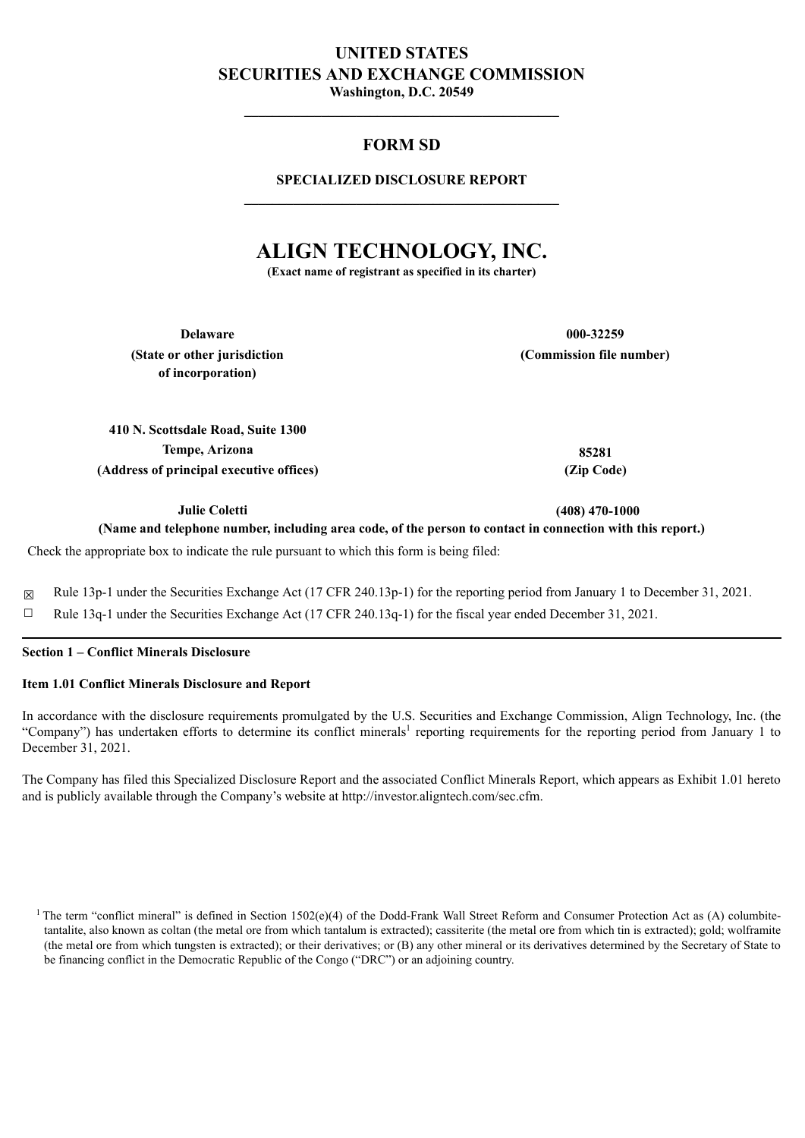# **UNITED STATES SECURITIES AND EXCHANGE COMMISSION**

**Washington, D.C. 20549 \_\_\_\_\_\_\_\_\_\_\_\_\_\_\_\_\_\_\_\_\_\_\_\_\_\_\_\_\_\_\_\_\_\_\_\_\_\_\_\_\_\_\_\_\_**

### **FORM SD**

### **SPECIALIZED DISCLOSURE REPORT \_\_\_\_\_\_\_\_\_\_\_\_\_\_\_\_\_\_\_\_\_\_\_\_\_\_\_\_\_\_\_\_\_\_\_\_\_\_\_\_\_\_\_\_\_**

## **ALIGN TECHNOLOGY, INC.**

**(Exact name of registrant as specified in its charter)**

**Delaware 000-32259 (State or other jurisdiction of incorporation)**

**(Commission file number)**

**410 N. Scottsdale Road, Suite 1300 Tempe, Arizona 85281 (Address of principal executive offices) (Zip Code)**

**Julie Coletti (408) 470-1000**

(Name and telephone number, including area code, of the person to contact in connection with this report.)

Check the appropriate box to indicate the rule pursuant to which this form is being filed:

☒ Rule 13p-1 under the Securities Exchange Act (17 CFR 240.13p-1) for the reporting period from January 1 to December 31, 2021.

 $\Box$  Rule 13q-1 under the Securities Exchange Act (17 CFR 240.13q-1) for the fiscal year ended December 31, 2021.

### **Section 1 – Conflict Minerals Disclosure**

### **Item 1.01 Conflict Minerals Disclosure and Report**

In accordance with the disclosure requirements promulgated by the U.S. Securities and Exchange Commission, Align Technology, Inc. (the "Company") has undertaken efforts to determine its conflict minerals<sup>1</sup> reporting requirements for the reporting period from January 1 to December 31, 2021.

The Company has filed this Specialized Disclosure Report and the associated Conflict Minerals Report, which appears as Exhibit 1.01 hereto and is publicly available through the Company's website at http://investor.aligntech.com/sec.cfm.

<sup>&</sup>lt;sup>1</sup> The term "conflict mineral" is defined in Section 1502(e)(4) of the Dodd-Frank Wall Street Reform and Consumer Protection Act as (A) columbitetantalite, also known as coltan (the metal ore from which tantalum is extracted); cassiterite (the metal ore from which tin is extracted); gold; wolframite (the metal ore from which tungsten is extracted); or their derivatives; or (B) any other mineral or its derivatives determined by the Secretary of State to be financing conflict in the Democratic Republic of the Congo ("DRC") or an adjoining country.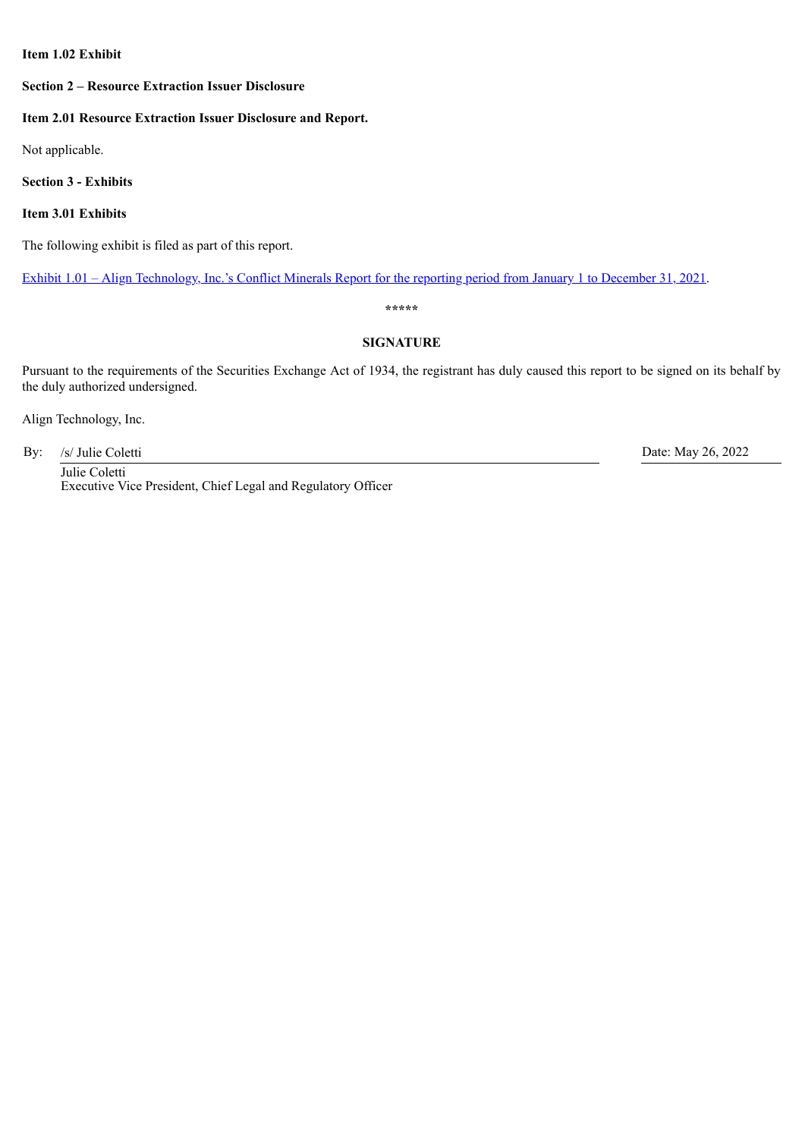### **Item 1.02 Exhibit**

### **Section 2 – Resource Extraction Issuer Disclosure**

#### **Item 2.01 Resource Extraction Issuer Disclosure and Report.**

Not applicable.

**Section 3 - Exhibits**

**Item 3.01 Exhibits**

The following exhibit is filed as part of this report.

Exhibit 1.01 – Align [Technology,](#page-2-0) Inc.'s Conflict Minerals Report for the [reporting](#page-2-0) [period](#page-2-0) [from](#page-2-0) January 1 to [December](#page-2-0) 31, 20[21.](#page-2-0)

**\*\*\*\*\***

### **SIGNATURE**

Pursuant to the requirements of the Securities Exchange Act of 1934, the registrant has duly caused this report to be signed on its behalf by the duly authorized undersigned.

Align Technology, Inc.

By: /s/ Julie Coletti Date: May 26, 2022

Julie Coletti Executive Vice President, Chief Legal and Regulatory Officer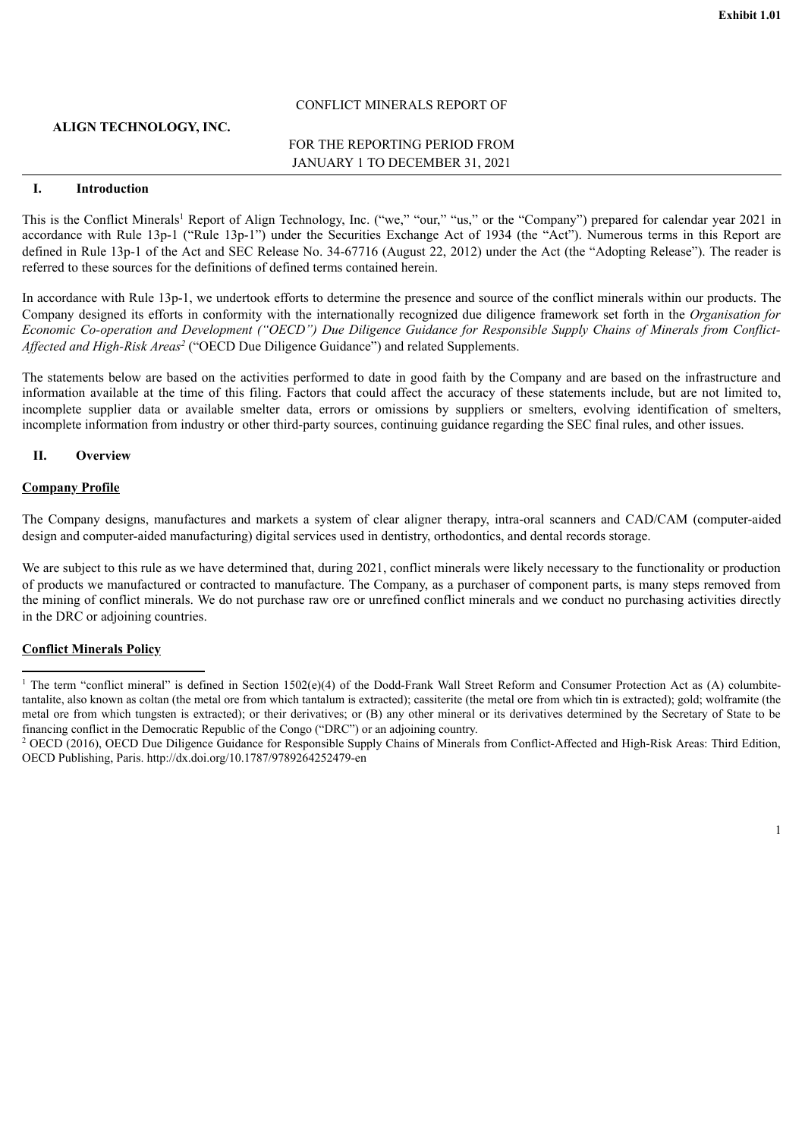### CONFLICT MINERALS REPORT OF

### <span id="page-2-0"></span>**ALIGN TECHNOLOGY, INC.**

### FOR THE REPORTING PERIOD FROM JANUARY 1 TO DECEMBER 31, 2021

### **I. Introduction**

This is the Conflict Minerals<sup>1</sup> Report of Align Technology, Inc. ("we," "our," "us," or the "Company") prepared for calendar year 2021 in accordance with Rule 13p-1 ("Rule 13p-1") under the Securities Exchange Act of 1934 (the "Act"). Numerous terms in this Report are defined in Rule 13p-1 of the Act and SEC Release No. 34-67716 (August 22, 2012) under the Act (the "Adopting Release"). The reader is referred to these sources for the definitions of defined terms contained herein.

In accordance with Rule 13p-1, we undertook efforts to determine the presence and source of the conflict minerals within our products. The Company designed its efforts in conformity with the internationally recognized due diligence framework set forth in the *Organisation for* Economic Co-operation and Development ("OECD") Due Diligence Guidance for Responsible Supply Chains of Minerals from Conflict-Affected and High-Risk Areas<sup>2</sup> ("OECD Due Diligence Guidance") and related Supplements.

The statements below are based on the activities performed to date in good faith by the Company and are based on the infrastructure and information available at the time of this filing. Factors that could affect the accuracy of these statements include, but are not limited to, incomplete supplier data or available smelter data, errors or omissions by suppliers or smelters, evolving identification of smelters, incomplete information from industry or other third-party sources, continuing guidance regarding the SEC final rules, and other issues.

#### **II. Overview**

#### **Company Profile**

The Company designs, manufactures and markets a system of clear aligner therapy, intra-oral scanners and CAD/CAM (computer-aided design and computer-aided manufacturing) digital services used in dentistry, orthodontics, and dental records storage.

We are subject to this rule as we have determined that, during 2021, conflict minerals were likely necessary to the functionality or production of products we manufactured or contracted to manufacture. The Company, as a purchaser of component parts, is many steps removed from the mining of conflict minerals. We do not purchase raw ore or unrefined conflict minerals and we conduct no purchasing activities directly in the DRC or adjoining countries.

#### **Conflict Minerals Policy**

<sup>&</sup>lt;sup>1</sup> The term "conflict mineral" is defined in Section 1502(e)(4) of the Dodd-Frank Wall Street Reform and Consumer Protection Act as (A) columbitetantalite, also known as coltan (the metal ore from which tantalum is extracted); cassiterite (the metal ore from which tin is extracted); gold; wolframite (the metal ore from which tungsten is extracted); or their derivatives; or (B) any other mineral or its derivatives determined by the Secretary of State to be financing conflict in the Democratic Republic of the Congo ("DRC") or an adjoining country.

<sup>&</sup>lt;sup>2</sup> OECD (2016), OECD Due Diligence Guidance for Responsible Supply Chains of Minerals from Conflict-Affected and High-Risk Areas: Third Edition, OECD Publishing, Paris. http://dx.doi.org/10.1787/9789264252479-en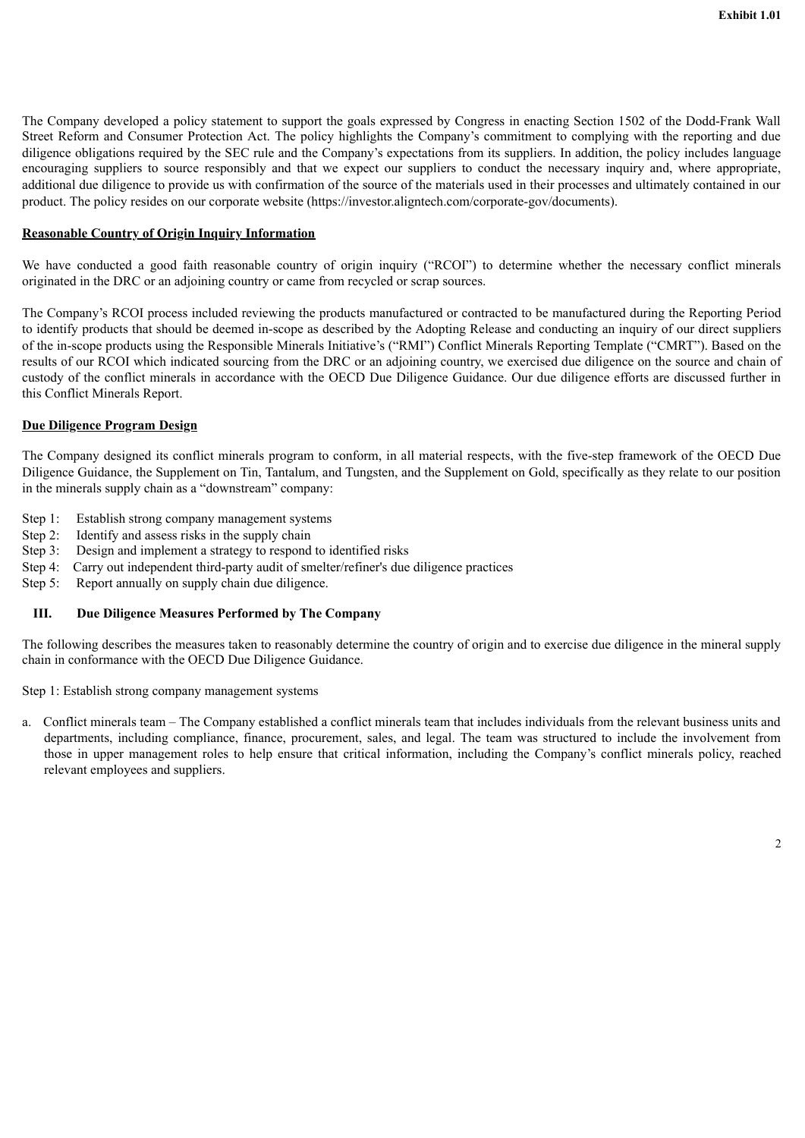The Company developed a policy statement to support the goals expressed by Congress in enacting Section 1502 of the Dodd-Frank Wall Street Reform and Consumer Protection Act. The policy highlights the Company's commitment to complying with the reporting and due diligence obligations required by the SEC rule and the Company's expectations from its suppliers. In addition, the policy includes language encouraging suppliers to source responsibly and that we expect our suppliers to conduct the necessary inquiry and, where appropriate, additional due diligence to provide us with confirmation of the source of the materials used in their processes and ultimately contained in our product. The policy resides on our corporate website (https://investor.aligntech.com/corporate-gov/documents).

### **Reasonable Country of Origin Inquiry Information**

We have conducted a good faith reasonable country of origin inquiry ("RCOI") to determine whether the necessary conflict minerals originated in the DRC or an adjoining country or came from recycled or scrap sources.

The Company's RCOI process included reviewing the products manufactured or contracted to be manufactured during the Reporting Period to identify products that should be deemed in-scope as described by the Adopting Release and conducting an inquiry of our direct suppliers of the in-scope products using the Responsible Minerals Initiative's ("RMI") Conflict Minerals Reporting Template ("CMRT"). Based on the results of our RCOI which indicated sourcing from the DRC or an adjoining country, we exercised due diligence on the source and chain of custody of the conflict minerals in accordance with the OECD Due Diligence Guidance. Our due diligence efforts are discussed further in this Conflict Minerals Report.

### **Due Diligence Program Design**

The Company designed its conflict minerals program to conform, in all material respects, with the five-step framework of the OECD Due Diligence Guidance, the Supplement on Tin, Tantalum, and Tungsten, and the Supplement on Gold, specifically as they relate to our position in the minerals supply chain as a "downstream" company:

- Step 1: Establish strong company management systems
- Step 2: Identify and assess risks in the supply chain
- Step 3: Design and implement a strategy to respond to identified risks
- Step 4: Carry out independent third-party audit of smelter/refiner's due diligence practices
- Step 5: Report annually on supply chain due diligence.

### **III. Due Diligence Measures Performed by The Company**

The following describes the measures taken to reasonably determine the country of origin and to exercise due diligence in the mineral supply chain in conformance with the OECD Due Diligence Guidance.

Step 1: Establish strong company management systems

a. Conflict minerals team – The Company established a conflict minerals team that includes individuals from the relevant business units and departments, including compliance, finance, procurement, sales, and legal. The team was structured to include the involvement from those in upper management roles to help ensure that critical information, including the Company's conflict minerals policy, reached relevant employees and suppliers.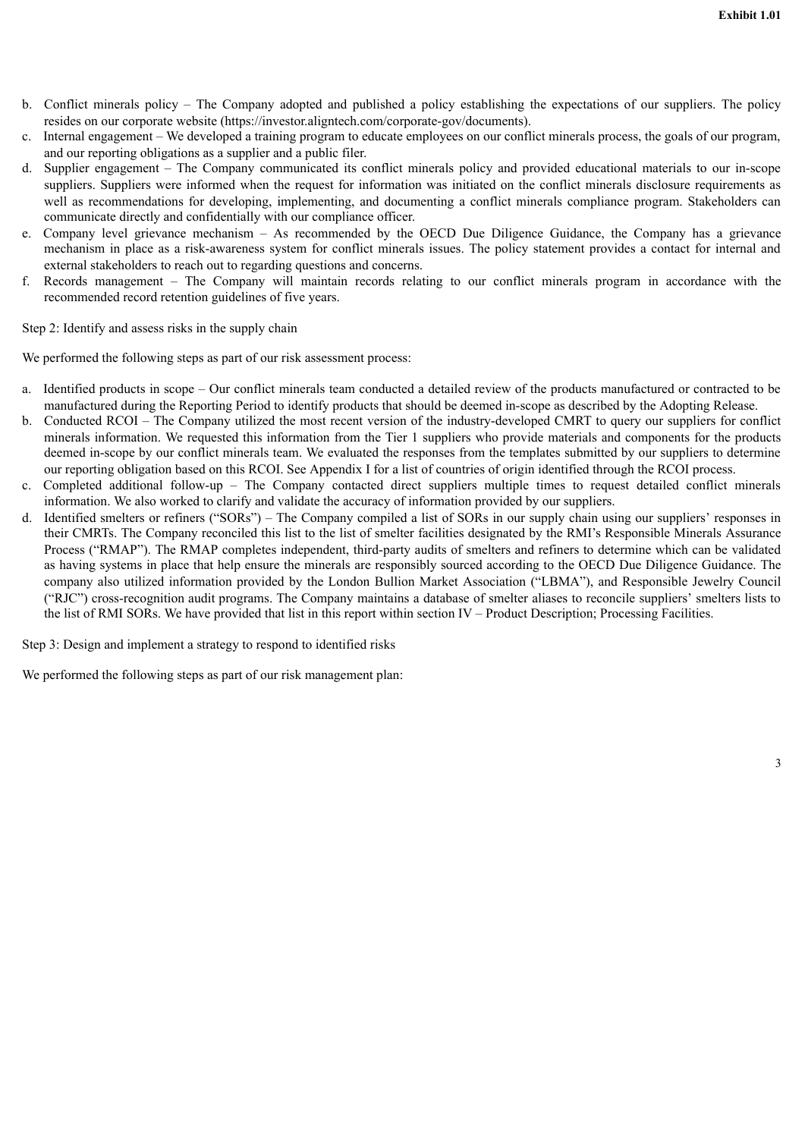- b. Conflict minerals policy The Company adopted and published a policy establishing the expectations of our suppliers. The policy resides on our corporate website (https://investor.aligntech.com/corporate-gov/documents).
- c. Internal engagement We developed a training program to educate employees on our conflict minerals process, the goals of our program, and our reporting obligations as a supplier and a public filer.
- d. Supplier engagement The Company communicated its conflict minerals policy and provided educational materials to our in-scope suppliers. Suppliers were informed when the request for information was initiated on the conflict minerals disclosure requirements as well as recommendations for developing, implementing, and documenting a conflict minerals compliance program. Stakeholders can communicate directly and confidentially with our compliance officer.
- e. Company level grievance mechanism As recommended by the OECD Due Diligence Guidance, the Company has a grievance mechanism in place as a risk-awareness system for conflict minerals issues. The policy statement provides a contact for internal and external stakeholders to reach out to regarding questions and concerns.
- f. Records management The Company will maintain records relating to our conflict minerals program in accordance with the recommended record retention guidelines of five years.

Step 2: Identify and assess risks in the supply chain

We performed the following steps as part of our risk assessment process:

- a. Identified products in scope Our conflict minerals team conducted a detailed review of the products manufactured or contracted to be manufactured during the Reporting Period to identify products that should be deemed in-scope as described by the Adopting Release.
- b. Conducted RCOI The Company utilized the most recent version of the industry-developed CMRT to query our suppliers for conflict minerals information. We requested this information from the Tier 1 suppliers who provide materials and components for the products deemed in-scope by our conflict minerals team. We evaluated the responses from the templates submitted by our suppliers to determine our reporting obligation based on this RCOI. See Appendix I for a list of countries of origin identified through the RCOI process.
- c. Completed additional follow-up The Company contacted direct suppliers multiple times to request detailed conflict minerals information. We also worked to clarify and validate the accuracy of information provided by our suppliers.
- d. Identified smelters or refiners ("SORs") The Company compiled a list of SORs in our supply chain using our suppliers' responses in their CMRTs. The Company reconciled this list to the list of smelter facilities designated by the RMI's Responsible Minerals Assurance Process ("RMAP"). The RMAP completes independent, third-party audits of smelters and refiners to determine which can be validated as having systems in place that help ensure the minerals are responsibly sourced according to the OECD Due Diligence Guidance. The company also utilized information provided by the London Bullion Market Association ("LBMA"), and Responsible Jewelry Council ("RJC") cross-recognition audit programs. The Company maintains a database of smelter aliases to reconcile suppliers' smelters lists to the list of RMI SORs. We have provided that list in this report within section IV – Product Description; Processing Facilities.

Step 3: Design and implement a strategy to respond to identified risks

We performed the following steps as part of our risk management plan: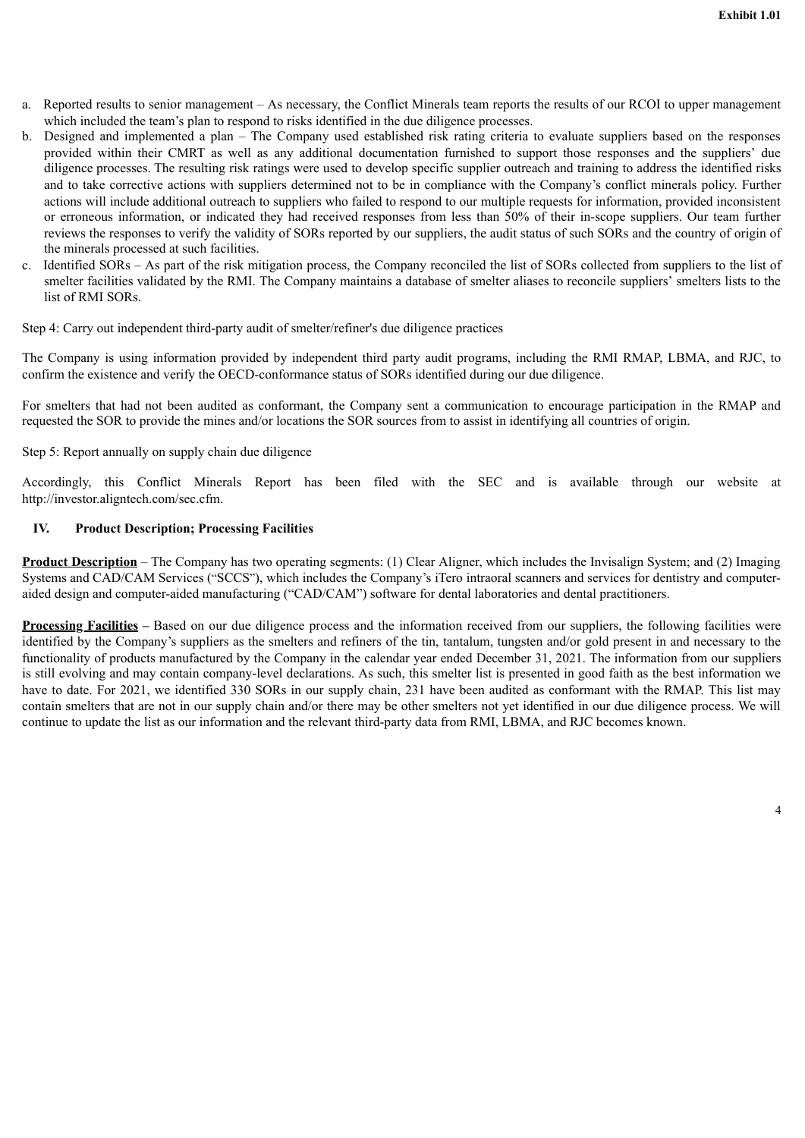- a. Reported results to senior management As necessary, the Conflict Minerals team reports the results of our RCOI to upper management which included the team's plan to respond to risks identified in the due diligence processes.
- b. Designed and implemented a plan The Company used established risk rating criteria to evaluate suppliers based on the responses provided within their CMRT as well as any additional documentation furnished to support those responses and the suppliers' due diligence processes. The resulting risk ratings were used to develop specific supplier outreach and training to address the identified risks and to take corrective actions with suppliers determined not to be in compliance with the Company's conflict minerals policy. Further actions will include additional outreach to suppliers who failed to respond to our multiple requests for information, provided inconsistent or erroneous information, or indicated they had received responses from less than 50% of their in-scope suppliers. Our team further reviews the responses to verify the validity of SORs reported by our suppliers, the audit status of such SORs and the country of origin of the minerals processed at such facilities.
- c. Identified SORs As part of the risk mitigation process, the Company reconciled the list of SORs collected from suppliers to the list of smelter facilities validated by the RMI. The Company maintains a database of smelter aliases to reconcile suppliers' smelters lists to the list of RMI SORs.

Step 4: Carry out independent third-party audit of smelter/refiner's due diligence practices

The Company is using information provided by independent third party audit programs, including the RMI RMAP, LBMA, and RJC, to confirm the existence and verify the OECD-conformance status of SORs identified during our due diligence.

For smelters that had not been audited as conformant, the Company sent a communication to encourage participation in the RMAP and requested the SOR to provide the mines and/or locations the SOR sources from to assist in identifying all countries of origin.

Step 5: Report annually on supply chain due diligence

Accordingly, this Conflict Minerals Report has been filed with the SEC and is available through our website at http://investor.aligntech.com/sec.cfm.

### **IV. Product Description; Processing Facilities**

**Product Description** – The Company has two operating segments: (1) Clear Aligner, which includes the Invisalign System; and (2) Imaging Systems and CAD/CAM Services ("SCCS"), which includes the Company's iTero intraoral scanners and services for dentistry and computeraided design and computer-aided manufacturing ("CAD/CAM") software for dental laboratories and dental practitioners.

**Processing Facilities –** Based on our due diligence process and the information received from our suppliers, the following facilities were identified by the Company's suppliers as the smelters and refiners of the tin, tantalum, tungsten and/or gold present in and necessary to the functionality of products manufactured by the Company in the calendar year ended December 31, 2021. The information from our suppliers is still evolving and may contain company-level declarations. As such, this smelter list is presented in good faith as the best information we have to date. For 2021, we identified 330 SORs in our supply chain, 231 have been audited as conformant with the RMAP. This list may contain smelters that are not in our supply chain and/or there may be other smelters not yet identified in our due diligence process. We will continue to update the list as our information and the relevant third-party data from RMI, LBMA, and RJC becomes known.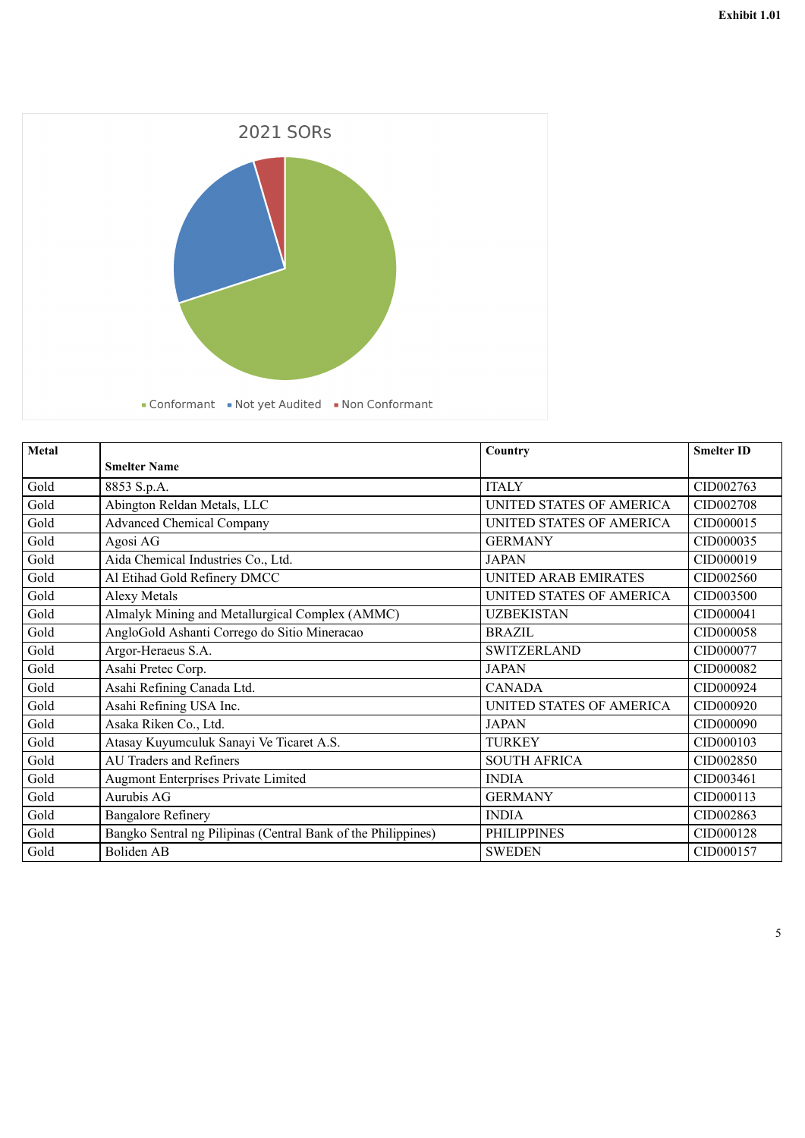

| Metal |                                                               | Country                     | <b>Smelter ID</b> |
|-------|---------------------------------------------------------------|-----------------------------|-------------------|
|       | <b>Smelter Name</b>                                           |                             |                   |
| Gold  | 8853 S.p.A.                                                   | <b>ITALY</b>                | CID002763         |
| Gold  | Abington Reldan Metals, LLC                                   | UNITED STATES OF AMERICA    | CID002708         |
| Gold  | <b>Advanced Chemical Company</b>                              | UNITED STATES OF AMERICA    | CID000015         |
| Gold  | Agosi AG                                                      | <b>GERMANY</b>              | CID000035         |
| Gold  | Aida Chemical Industries Co., Ltd.                            | <b>JAPAN</b>                | CID000019         |
| Gold  | Al Etihad Gold Refinery DMCC                                  | <b>UNITED ARAB EMIRATES</b> | CID002560         |
| Gold  | <b>Alexy Metals</b>                                           | UNITED STATES OF AMERICA    | CID003500         |
| Gold  | Almalyk Mining and Metallurgical Complex (AMMC)               | <b>UZBEKISTAN</b>           | CID000041         |
| Gold  | AngloGold Ashanti Corrego do Sitio Mineracao                  | <b>BRAZIL</b>               | CID000058         |
| Gold  | Argor-Heraeus S.A.                                            | <b>SWITZERLAND</b>          | CID000077         |
| Gold  | Asahi Pretec Corp.                                            | <b>JAPAN</b>                | CID000082         |
| Gold  | Asahi Refining Canada Ltd.                                    | <b>CANADA</b>               | CID000924         |
| Gold  | Asahi Refining USA Inc.                                       | UNITED STATES OF AMERICA    | CID000920         |
| Gold  | Asaka Riken Co., Ltd.                                         | <b>JAPAN</b>                | CID000090         |
| Gold  | Atasay Kuyumculuk Sanayi Ve Ticaret A.S.                      | <b>TURKEY</b>               | CID000103         |
| Gold  | <b>AU Traders and Refiners</b>                                | <b>SOUTH AFRICA</b>         | CID002850         |
| Gold  | <b>Augmont Enterprises Private Limited</b>                    | <b>INDIA</b>                | CID003461         |
| Gold  | Aurubis AG                                                    | <b>GERMANY</b>              | CID000113         |
| Gold  | <b>Bangalore Refinery</b>                                     | <b>INDIA</b>                | CID002863         |
| Gold  | Bangko Sentral ng Pilipinas (Central Bank of the Philippines) | <b>PHILIPPINES</b>          | CID000128         |
| Gold  | <b>Boliden AB</b>                                             | <b>SWEDEN</b>               | CID000157         |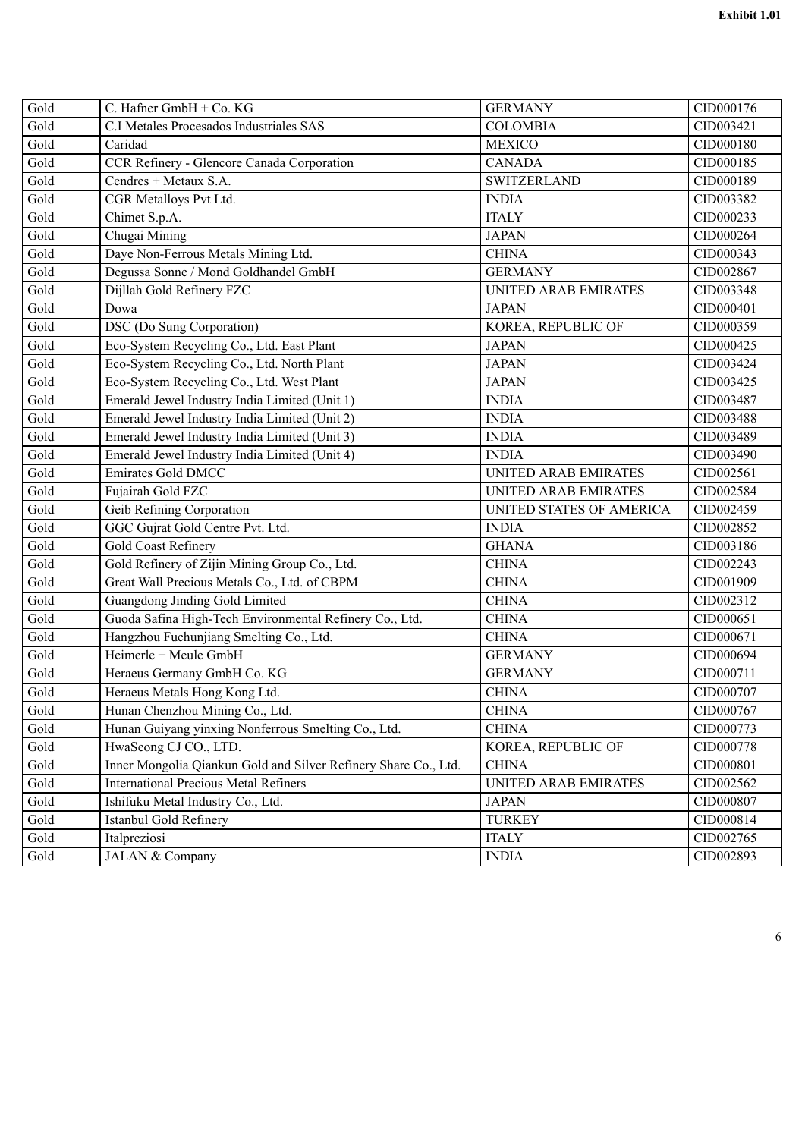| Gold | C. Hafner GmbH + Co. KG                                         | <b>GERMANY</b>              | CID000176 |
|------|-----------------------------------------------------------------|-----------------------------|-----------|
| Gold | C.I Metales Procesados Industriales SAS                         | <b>COLOMBIA</b>             | CID003421 |
| Gold | Caridad                                                         | <b>MEXICO</b>               | CID000180 |
| Gold | CCR Refinery - Glencore Canada Corporation                      | <b>CANADA</b>               | CID000185 |
| Gold | Cendres + Metaux S.A.                                           | <b>SWITZERLAND</b>          | CID000189 |
| Gold | CGR Metalloys Pvt Ltd.                                          | <b>INDIA</b>                | CID003382 |
| Gold | Chimet S.p.A.                                                   | <b>ITALY</b>                | CID000233 |
| Gold | Chugai Mining                                                   | <b>JAPAN</b>                | CID000264 |
| Gold | Daye Non-Ferrous Metals Mining Ltd.                             | <b>CHINA</b>                | CID000343 |
| Gold | Degussa Sonne / Mond Goldhandel GmbH                            | <b>GERMANY</b>              | CID002867 |
| Gold | Dijllah Gold Refinery FZC                                       | <b>UNITED ARAB EMIRATES</b> | CID003348 |
| Gold | Dowa                                                            | <b>JAPAN</b>                | CID000401 |
| Gold | DSC (Do Sung Corporation)                                       | KOREA, REPUBLIC OF          | CID000359 |
| Gold | Eco-System Recycling Co., Ltd. East Plant                       | <b>JAPAN</b>                | CID000425 |
| Gold | Eco-System Recycling Co., Ltd. North Plant                      | <b>JAPAN</b>                | CID003424 |
| Gold | Eco-System Recycling Co., Ltd. West Plant                       | <b>JAPAN</b>                | CID003425 |
| Gold | Emerald Jewel Industry India Limited (Unit 1)                   | <b>INDIA</b>                | CID003487 |
| Gold | Emerald Jewel Industry India Limited (Unit 2)                   | <b>INDIA</b>                | CID003488 |
| Gold | Emerald Jewel Industry India Limited (Unit 3)                   | <b>INDIA</b>                | CID003489 |
| Gold | Emerald Jewel Industry India Limited (Unit 4)                   | <b>INDIA</b>                | CID003490 |
| Gold | <b>Emirates Gold DMCC</b>                                       | <b>UNITED ARAB EMIRATES</b> | CID002561 |
| Gold | Fujairah Gold FZC                                               | <b>UNITED ARAB EMIRATES</b> | CID002584 |
| Gold | Geib Refining Corporation                                       | UNITED STATES OF AMERICA    | CID002459 |
| Gold | GGC Gujrat Gold Centre Pvt. Ltd.                                | <b>INDIA</b>                | CID002852 |
| Gold | <b>Gold Coast Refinery</b>                                      | <b>GHANA</b>                | CID003186 |
| Gold | Gold Refinery of Zijin Mining Group Co., Ltd.                   | <b>CHINA</b>                | CID002243 |
| Gold | Great Wall Precious Metals Co., Ltd. of CBPM                    | <b>CHINA</b>                | CID001909 |
| Gold | Guangdong Jinding Gold Limited                                  | <b>CHINA</b>                | CID002312 |
| Gold | Guoda Safina High-Tech Environmental Refinery Co., Ltd.         | <b>CHINA</b>                | CID000651 |
| Gold | Hangzhou Fuchunjiang Smelting Co., Ltd.                         | <b>CHINA</b>                | CID000671 |
| Gold | Heimerle + Meule GmbH                                           | <b>GERMANY</b>              | CID000694 |
| Gold | Heraeus Germany GmbH Co. KG                                     | <b>GERMANY</b>              | CID000711 |
| Gold | Heraeus Metals Hong Kong Ltd.                                   | <b>CHINA</b>                | CID000707 |
| Gold | Hunan Chenzhou Mining Co., Ltd.                                 | <b>CHINA</b>                | CID000767 |
| Gold | Hunan Guiyang yinxing Nonferrous Smelting Co., Ltd.             | <b>CHINA</b>                | CID000773 |
| Gold | HwaSeong CJ CO., LTD.                                           | KOREA, REPUBLIC OF          | CID000778 |
| Gold | Inner Mongolia Qiankun Gold and Silver Refinery Share Co., Ltd. | <b>CHINA</b>                | CID000801 |
| Gold | <b>International Precious Metal Refiners</b>                    | UNITED ARAB EMIRATES        | CID002562 |
| Gold | Ishifuku Metal Industry Co., Ltd.                               | <b>JAPAN</b>                | CID000807 |
| Gold | Istanbul Gold Refinery                                          | <b>TURKEY</b>               | CID000814 |
| Gold | Italpreziosi                                                    | <b>ITALY</b>                | CID002765 |
| Gold | JALAN & Company                                                 | <b>INDIA</b>                | CID002893 |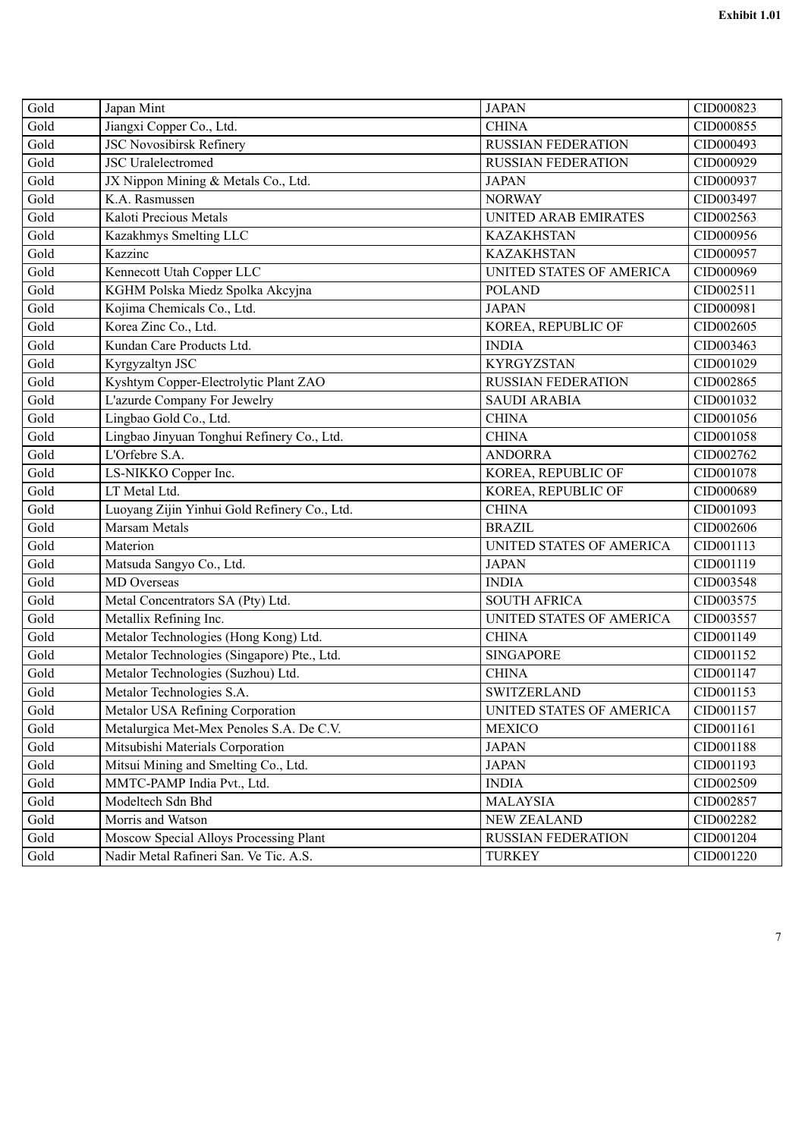| Gold | Japan Mint                                   | <b>JAPAN</b>                | CID000823 |
|------|----------------------------------------------|-----------------------------|-----------|
| Gold | Jiangxi Copper Co., Ltd.                     | <b>CHINA</b>                | CID000855 |
| Gold | <b>JSC Novosibirsk Refinery</b>              | <b>RUSSIAN FEDERATION</b>   | CID000493 |
| Gold | <b>JSC</b> Uralelectromed                    | <b>RUSSIAN FEDERATION</b>   | CID000929 |
| Gold | JX Nippon Mining & Metals Co., Ltd.          | <b>JAPAN</b>                | CID000937 |
| Gold | K.A. Rasmussen                               | <b>NORWAY</b>               | CID003497 |
| Gold | Kaloti Precious Metals                       | <b>UNITED ARAB EMIRATES</b> | CID002563 |
| Gold | Kazakhmys Smelting LLC                       | <b>KAZAKHSTAN</b>           | CID000956 |
| Gold | Kazzinc                                      | <b>KAZAKHSTAN</b>           | CID000957 |
| Gold | Kennecott Utah Copper LLC                    | UNITED STATES OF AMERICA    | CID000969 |
| Gold | KGHM Polska Miedz Spolka Akcyjna             | <b>POLAND</b>               | CID002511 |
| Gold | Kojima Chemicals Co., Ltd.                   | <b>JAPAN</b>                | CID000981 |
| Gold | Korea Zinc Co., Ltd.                         | KOREA, REPUBLIC OF          | CID002605 |
| Gold | Kundan Care Products Ltd.                    | <b>INDIA</b>                | CID003463 |
| Gold | Kyrgyzaltyn JSC                              | <b>KYRGYZSTAN</b>           | CID001029 |
| Gold | Kyshtym Copper-Electrolytic Plant ZAO        | <b>RUSSIAN FEDERATION</b>   | CID002865 |
| Gold | L'azurde Company For Jewelry                 | <b>SAUDI ARABIA</b>         | CID001032 |
| Gold | Lingbao Gold Co., Ltd.                       | <b>CHINA</b>                | CID001056 |
| Gold | Lingbao Jinyuan Tonghui Refinery Co., Ltd.   | <b>CHINA</b>                | CID001058 |
| Gold | L'Orfebre S.A.                               | <b>ANDORRA</b>              | CID002762 |
| Gold | LS-NIKKO Copper Inc.                         | KOREA, REPUBLIC OF          | CID001078 |
| Gold | LT Metal Ltd.                                | KOREA, REPUBLIC OF          | CID000689 |
| Gold | Luoyang Zijin Yinhui Gold Refinery Co., Ltd. | <b>CHINA</b>                | CID001093 |
| Gold | <b>Marsam Metals</b>                         | <b>BRAZIL</b>               | CID002606 |
| Gold | Materion                                     | UNITED STATES OF AMERICA    | CID001113 |
| Gold | Matsuda Sangyo Co., Ltd.                     | <b>JAPAN</b>                | CID001119 |
| Gold | <b>MD</b> Overseas                           | <b>INDIA</b>                | CID003548 |
| Gold | Metal Concentrators SA (Pty) Ltd.            | <b>SOUTH AFRICA</b>         | CID003575 |
| Gold | Metallix Refining Inc.                       | UNITED STATES OF AMERICA    | CID003557 |
| Gold | Metalor Technologies (Hong Kong) Ltd.        | <b>CHINA</b>                | CID001149 |
| Gold | Metalor Technologies (Singapore) Pte., Ltd.  | <b>SINGAPORE</b>            | CID001152 |
| Gold | Metalor Technologies (Suzhou) Ltd.           | <b>CHINA</b>                | CID001147 |
| Gold | Metalor Technologies S.A.                    | <b>SWITZERLAND</b>          | CID001153 |
| Gold | Metalor USA Refining Corporation             | UNITED STATES OF AMERICA    | CID001157 |
| Gold | Metalurgica Met-Mex Penoles S.A. De C.V.     | <b>MEXICO</b>               | CID001161 |
| Gold | Mitsubishi Materials Corporation             | <b>JAPAN</b>                | CID001188 |
| Gold | Mitsui Mining and Smelting Co., Ltd.         | <b>JAPAN</b>                | CID001193 |
| Gold | MMTC-PAMP India Pvt., Ltd.                   | <b>INDIA</b>                | CID002509 |
| Gold | Modeltech Sdn Bhd                            | <b>MALAYSIA</b>             | CID002857 |
| Gold | Morris and Watson                            | <b>NEW ZEALAND</b>          | CID002282 |
| Gold | Moscow Special Alloys Processing Plant       | <b>RUSSIAN FEDERATION</b>   | CID001204 |
| Gold | Nadir Metal Rafineri San. Ve Tic. A.S.       | <b>TURKEY</b>               | CID001220 |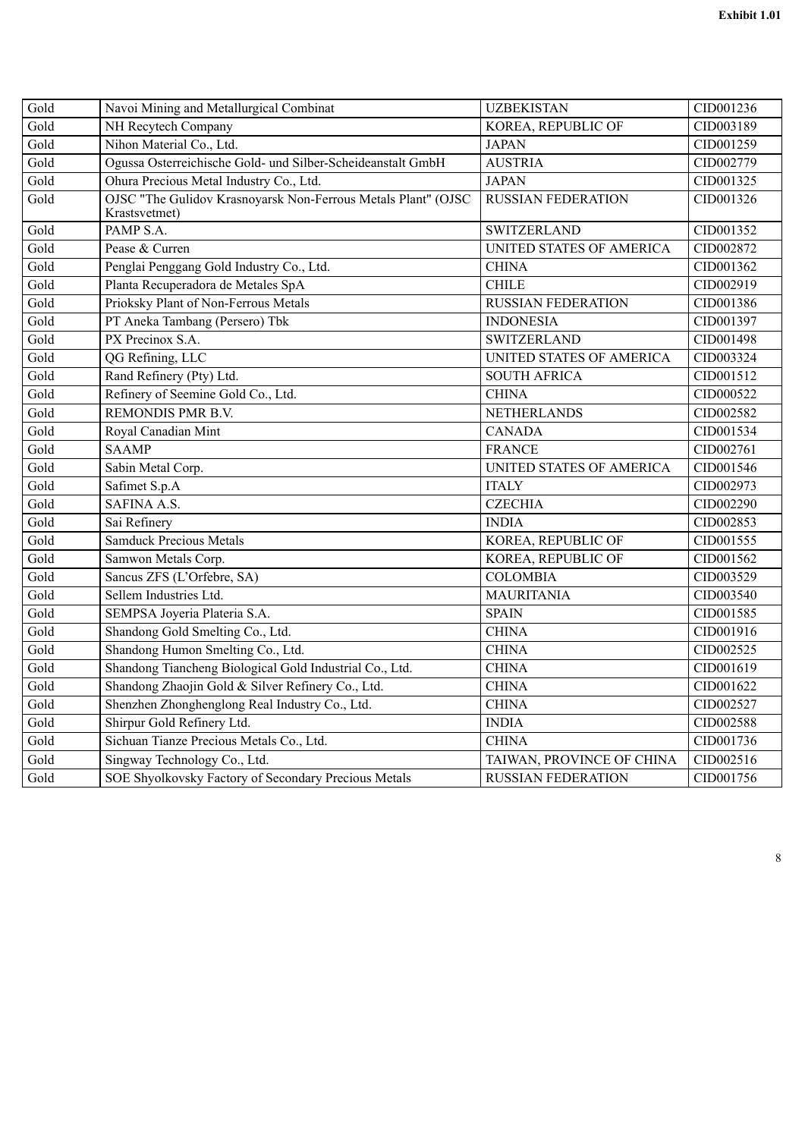| Gold | Navoi Mining and Metallurgical Combinat                                        | <b>UZBEKISTAN</b>         | CID001236 |
|------|--------------------------------------------------------------------------------|---------------------------|-----------|
| Gold | NH Recytech Company                                                            | KOREA, REPUBLIC OF        | CID003189 |
| Gold | Nihon Material Co., Ltd.                                                       | <b>JAPAN</b>              | CID001259 |
| Gold | Ogussa Osterreichische Gold- und Silber-Scheideanstalt GmbH                    | <b>AUSTRIA</b>            | CID002779 |
| Gold | Ohura Precious Metal Industry Co., Ltd.                                        | <b>JAPAN</b>              | CID001325 |
| Gold | OJSC "The Gulidov Krasnoyarsk Non-Ferrous Metals Plant" (OJSC<br>Krastsvetmet) | <b>RUSSIAN FEDERATION</b> | CID001326 |
| Gold | PAMP S.A.                                                                      | <b>SWITZERLAND</b>        | CID001352 |
| Gold | Pease & Curren                                                                 | UNITED STATES OF AMERICA  | CID002872 |
| Gold | Penglai Penggang Gold Industry Co., Ltd.                                       | <b>CHINA</b>              | CID001362 |
| Gold | Planta Recuperadora de Metales SpA                                             | <b>CHILE</b>              | CID002919 |
| Gold | Prioksky Plant of Non-Ferrous Metals                                           | <b>RUSSIAN FEDERATION</b> | CID001386 |
| Gold | PT Aneka Tambang (Persero) Tbk                                                 | <b>INDONESIA</b>          | CID001397 |
| Gold | PX Precinox S.A.                                                               | <b>SWITZERLAND</b>        | CID001498 |
| Gold | QG Refining, LLC                                                               | UNITED STATES OF AMERICA  | CID003324 |
| Gold | Rand Refinery (Pty) Ltd.                                                       | <b>SOUTH AFRICA</b>       | CID001512 |
| Gold | Refinery of Seemine Gold Co., Ltd.                                             | <b>CHINA</b>              | CID000522 |
| Gold | REMONDIS PMR B.V.                                                              | <b>NETHERLANDS</b>        | CID002582 |
| Gold | Royal Canadian Mint                                                            | <b>CANADA</b>             | CID001534 |
| Gold | <b>SAAMP</b>                                                                   | <b>FRANCE</b>             | CID002761 |
| Gold | Sabin Metal Corp.                                                              | UNITED STATES OF AMERICA  | CID001546 |
| Gold | Safimet S.p.A                                                                  | <b>ITALY</b>              | CID002973 |
| Gold | SAFINA A.S.                                                                    | <b>CZECHIA</b>            | CID002290 |
| Gold | Sai Refinery                                                                   | <b>INDIA</b>              | CID002853 |
| Gold | <b>Samduck Precious Metals</b>                                                 | KOREA, REPUBLIC OF        | CID001555 |
| Gold | Samwon Metals Corp.                                                            | KOREA, REPUBLIC OF        | CID001562 |
| Gold | Sancus ZFS (L'Orfebre, SA)                                                     | <b>COLOMBIA</b>           | CID003529 |
| Gold | Sellem Industries Ltd.                                                         | <b>MAURITANIA</b>         | CID003540 |
| Gold | SEMPSA Joyeria Plateria S.A.                                                   | <b>SPAIN</b>              | CID001585 |
| Gold | Shandong Gold Smelting Co., Ltd.                                               | <b>CHINA</b>              | CID001916 |
| Gold | Shandong Humon Smelting Co., Ltd.                                              | <b>CHINA</b>              | CID002525 |
| Gold | Shandong Tiancheng Biological Gold Industrial Co., Ltd.                        | <b>CHINA</b>              | CID001619 |
| Gold | Shandong Zhaojin Gold & Silver Refinery Co., Ltd.                              | <b>CHINA</b>              | CID001622 |
| Gold | Shenzhen Zhonghenglong Real Industry Co., Ltd.                                 | <b>CHINA</b>              | CID002527 |
| Gold | Shirpur Gold Refinery Ltd.                                                     | <b>INDIA</b>              | CID002588 |
| Gold | Sichuan Tianze Precious Metals Co., Ltd.                                       | <b>CHINA</b>              | CID001736 |
| Gold | Singway Technology Co., Ltd.                                                   | TAIWAN, PROVINCE OF CHINA | CID002516 |
| Gold | SOE Shyolkovsky Factory of Secondary Precious Metals                           | <b>RUSSIAN FEDERATION</b> | CID001756 |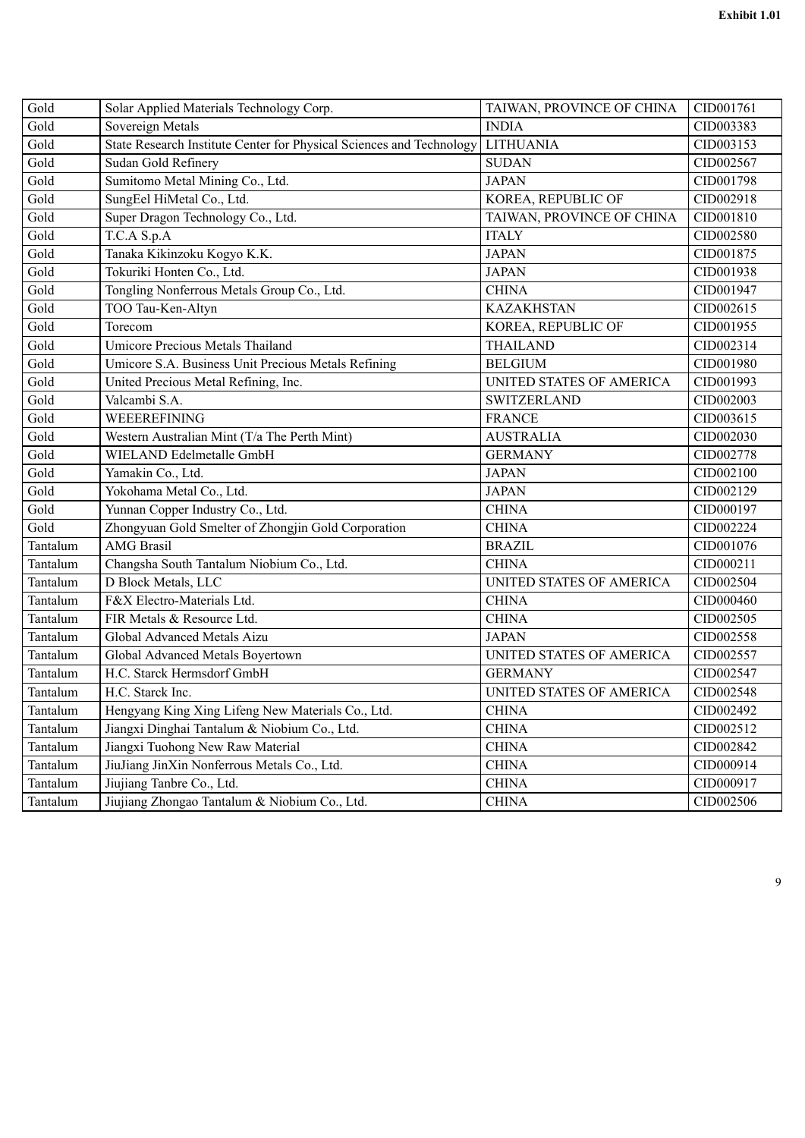| Gold     | Solar Applied Materials Technology Corp.                             | TAIWAN, PROVINCE OF CHINA | CID001761 |
|----------|----------------------------------------------------------------------|---------------------------|-----------|
| Gold     | Sovereign Metals                                                     | <b>INDIA</b>              | CID003383 |
| Gold     | State Research Institute Center for Physical Sciences and Technology | <b>LITHUANIA</b>          | CID003153 |
| Gold     | Sudan Gold Refinery                                                  | <b>SUDAN</b>              | CID002567 |
| Gold     | Sumitomo Metal Mining Co., Ltd.                                      | <b>JAPAN</b>              | CID001798 |
| Gold     | SungEel HiMetal Co., Ltd.                                            | KOREA, REPUBLIC OF        | CID002918 |
| Gold     | Super Dragon Technology Co., Ltd.                                    | TAIWAN, PROVINCE OF CHINA | CID001810 |
| Gold     | T.C.A S.p.A                                                          | <b>ITALY</b>              | CID002580 |
| Gold     | Tanaka Kikinzoku Kogyo K.K.                                          | <b>JAPAN</b>              | CID001875 |
| Gold     | Tokuriki Honten Co., Ltd.                                            | <b>JAPAN</b>              | CID001938 |
| Gold     | Tongling Nonferrous Metals Group Co., Ltd.                           | <b>CHINA</b>              | CID001947 |
| Gold     | TOO Tau-Ken-Altyn                                                    | <b>KAZAKHSTAN</b>         | CID002615 |
| Gold     | Torecom                                                              | KOREA, REPUBLIC OF        | CID001955 |
| Gold     | Umicore Precious Metals Thailand                                     | <b>THAILAND</b>           | CID002314 |
| Gold     | Umicore S.A. Business Unit Precious Metals Refining                  | <b>BELGIUM</b>            | CID001980 |
| Gold     | United Precious Metal Refining, Inc.                                 | UNITED STATES OF AMERICA  | CID001993 |
| Gold     | Valcambi S.A.                                                        | <b>SWITZERLAND</b>        | CID002003 |
| Gold     | WEEEREFINING                                                         | <b>FRANCE</b>             | CID003615 |
| Gold     | Western Australian Mint (T/a The Perth Mint)                         | <b>AUSTRALIA</b>          | CID002030 |
| Gold     | WIELAND Edelmetalle GmbH                                             | <b>GERMANY</b>            | CID002778 |
| Gold     | Yamakin Co., Ltd.                                                    | <b>JAPAN</b>              | CID002100 |
| Gold     | Yokohama Metal Co., Ltd.                                             | <b>JAPAN</b>              | CID002129 |
| Gold     | Yunnan Copper Industry Co., Ltd.                                     | <b>CHINA</b>              | CID000197 |
| Gold     | Zhongyuan Gold Smelter of Zhongjin Gold Corporation                  | <b>CHINA</b>              | CID002224 |
| Tantalum | <b>AMG Brasil</b>                                                    | <b>BRAZIL</b>             | CID001076 |
| Tantalum | Changsha South Tantalum Niobium Co., Ltd.                            | <b>CHINA</b>              | CID000211 |
| Tantalum | D Block Metals, LLC                                                  | UNITED STATES OF AMERICA  | CID002504 |
| Tantalum | F&X Electro-Materials Ltd.                                           | <b>CHINA</b>              | CID000460 |
| Tantalum | FIR Metals & Resource Ltd.                                           | <b>CHINA</b>              | CID002505 |
| Tantalum | Global Advanced Metals Aizu                                          | <b>JAPAN</b>              | CID002558 |
| Tantalum | Global Advanced Metals Boyertown                                     | UNITED STATES OF AMERICA  | CID002557 |
| Tantalum | H.C. Starck Hermsdorf GmbH                                           | <b>GERMANY</b>            | CID002547 |
| Tantalum | H.C. Starck Inc.                                                     | UNITED STATES OF AMERICA  | CID002548 |
| Tantalum | Hengyang King Xing Lifeng New Materials Co., Ltd.                    | <b>CHINA</b>              | CID002492 |
| Tantalum | Jiangxi Dinghai Tantalum & Niobium Co., Ltd.                         | <b>CHINA</b>              | CID002512 |
| Tantalum | Jiangxi Tuohong New Raw Material                                     | <b>CHINA</b>              | CID002842 |
| Tantalum | JiuJiang JinXin Nonferrous Metals Co., Ltd.                          | <b>CHINA</b>              | CID000914 |
| Tantalum | Jiujiang Tanbre Co., Ltd.                                            | <b>CHINA</b>              | CID000917 |
| Tantalum | Jiujiang Zhongao Tantalum & Niobium Co., Ltd.                        | <b>CHINA</b>              | CID002506 |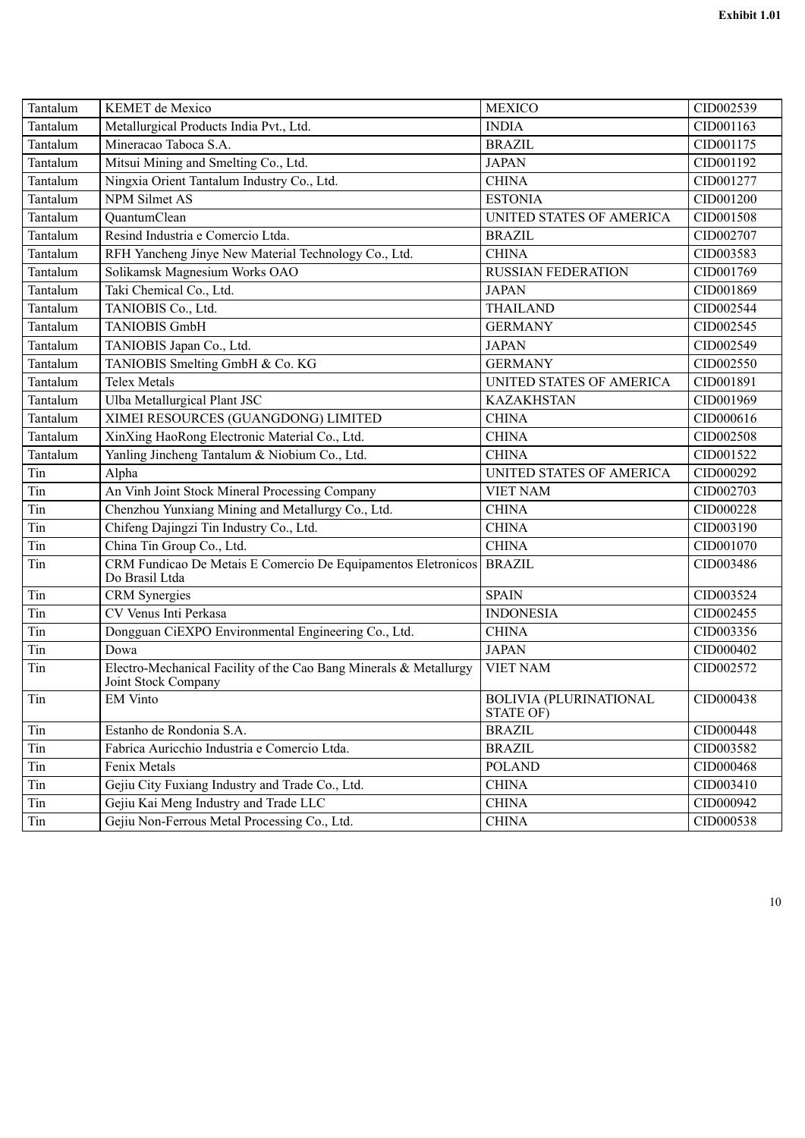| Tantalum | <b>KEMET</b> de Mexico                                                                   | <b>MEXICO</b>                              | CID002539 |
|----------|------------------------------------------------------------------------------------------|--------------------------------------------|-----------|
| Tantalum | Metallurgical Products India Pvt., Ltd.                                                  | <b>INDIA</b>                               | CID001163 |
| Tantalum | Mineracao Taboca S.A.                                                                    | <b>BRAZIL</b>                              | CID001175 |
| Tantalum | Mitsui Mining and Smelting Co., Ltd.                                                     | <b>JAPAN</b>                               | CID001192 |
| Tantalum | Ningxia Orient Tantalum Industry Co., Ltd.                                               | <b>CHINA</b>                               | CID001277 |
| Tantalum | <b>NPM Silmet AS</b>                                                                     | <b>ESTONIA</b>                             | CID001200 |
| Tantalum | QuantumClean                                                                             | UNITED STATES OF AMERICA                   | CID001508 |
| Tantalum | Resind Industria e Comercio Ltda.                                                        | <b>BRAZIL</b>                              | CID002707 |
| Tantalum | RFH Yancheng Jinye New Material Technology Co., Ltd.                                     | <b>CHINA</b>                               | CID003583 |
| Tantalum | Solikamsk Magnesium Works OAO                                                            | <b>RUSSIAN FEDERATION</b>                  | CID001769 |
| Tantalum | Taki Chemical Co., Ltd.                                                                  | <b>JAPAN</b>                               | CID001869 |
| Tantalum | TANIOBIS Co., Ltd.                                                                       | <b>THAILAND</b>                            | CID002544 |
| Tantalum | <b>TANIOBIS GmbH</b>                                                                     | <b>GERMANY</b>                             | CID002545 |
| Tantalum | TANIOBIS Japan Co., Ltd.                                                                 | <b>JAPAN</b>                               | CID002549 |
| Tantalum | TANIOBIS Smelting GmbH & Co. KG                                                          | <b>GERMANY</b>                             | CID002550 |
| Tantalum | <b>Telex Metals</b>                                                                      | UNITED STATES OF AMERICA                   | CID001891 |
| Tantalum | Ulba Metallurgical Plant JSC                                                             | <b>KAZAKHSTAN</b>                          | CID001969 |
| Tantalum | XIMEI RESOURCES (GUANGDONG) LIMITED                                                      | <b>CHINA</b>                               | CID000616 |
| Tantalum | XinXing HaoRong Electronic Material Co., Ltd.                                            | <b>CHINA</b>                               | CID002508 |
| Tantalum | Yanling Jincheng Tantalum & Niobium Co., Ltd.                                            | <b>CHINA</b>                               | CID001522 |
| Tin      | Alpha                                                                                    | UNITED STATES OF AMERICA                   | CID000292 |
| Tin      | An Vinh Joint Stock Mineral Processing Company                                           | <b>VIET NAM</b>                            | CID002703 |
| Tin      | Chenzhou Yunxiang Mining and Metallurgy Co., Ltd.                                        | <b>CHINA</b>                               | CID000228 |
| Tin      | Chifeng Dajingzi Tin Industry Co., Ltd.                                                  | <b>CHINA</b>                               | CID003190 |
| Tin      | China Tin Group Co., Ltd.                                                                | <b>CHINA</b>                               | CID001070 |
| Tin      | CRM Fundicao De Metais E Comercio De Equipamentos Eletronicos<br>Do Brasil Ltda          | <b>BRAZIL</b>                              | CID003486 |
| Tin      | <b>CRM</b> Synergies                                                                     | <b>SPAIN</b>                               | CID003524 |
| Tin      | CV Venus Inti Perkasa                                                                    | <b>INDONESIA</b>                           | CID002455 |
| Tin      | Dongguan CiEXPO Environmental Engineering Co., Ltd.                                      | <b>CHINA</b>                               | CID003356 |
| Tin      | Dowa                                                                                     | <b>JAPAN</b>                               | CID000402 |
| Tin      | Electro-Mechanical Facility of the Cao Bang Minerals & Metallurgy<br>Joint Stock Company | <b>VIET NAM</b>                            | CID002572 |
| Tin      | <b>EM Vinto</b>                                                                          | <b>BOLIVIA (PLURINATIONAL</b><br>STATE OF) | CID000438 |
| Tin      | Estanho de Rondonia S.A.                                                                 | <b>BRAZIL</b>                              | CID000448 |
| Tin      | Fabrica Auricchio Industria e Comercio Ltda.                                             | <b>BRAZIL</b>                              | CID003582 |
| Tin      | Fenix Metals                                                                             | <b>POLAND</b>                              | CID000468 |
| Tin      | Gejiu City Fuxiang Industry and Trade Co., Ltd.                                          | <b>CHINA</b>                               | CID003410 |
| Tin      | Gejiu Kai Meng Industry and Trade LLC                                                    | <b>CHINA</b>                               | CID000942 |
| Tin      | Gejiu Non-Ferrous Metal Processing Co., Ltd.                                             | <b>CHINA</b>                               | CID000538 |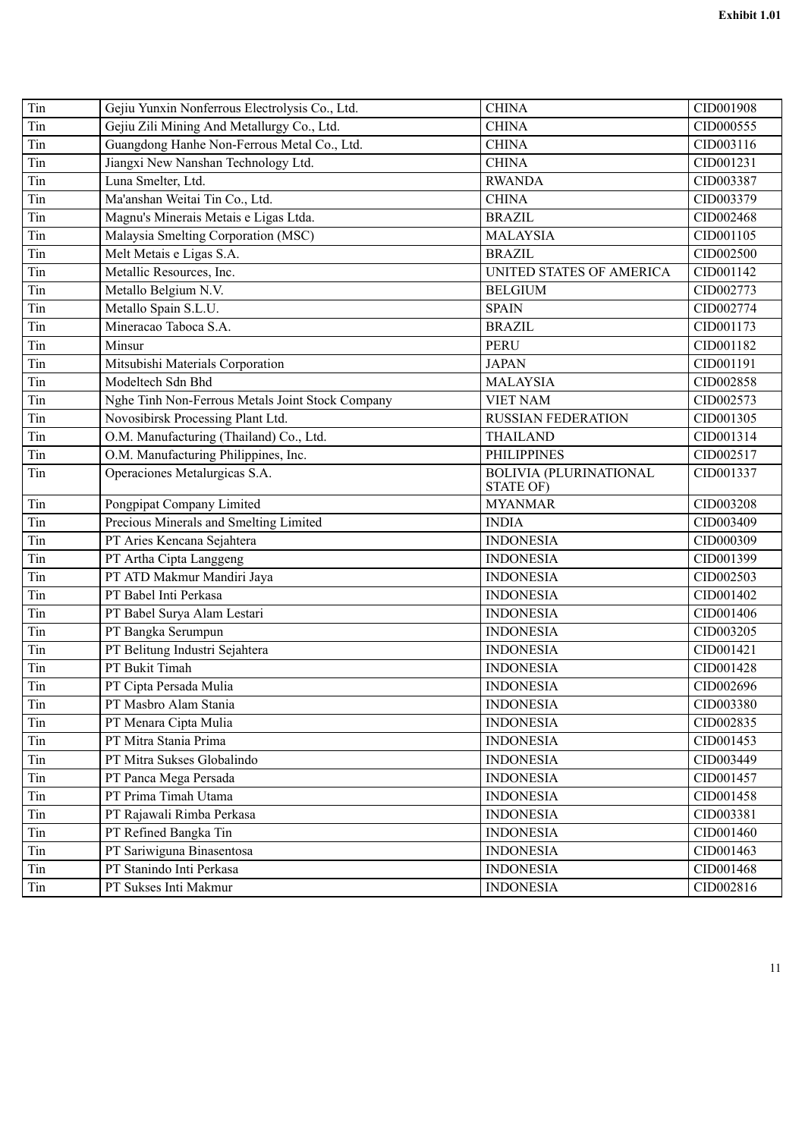| Tin | Gejiu Yunxin Nonferrous Electrolysis Co., Ltd.   | <b>CHINA</b>                               | CID001908 |
|-----|--------------------------------------------------|--------------------------------------------|-----------|
| Tin | Gejiu Zili Mining And Metallurgy Co., Ltd.       | <b>CHINA</b>                               | CID000555 |
| Tin | Guangdong Hanhe Non-Ferrous Metal Co., Ltd.      | <b>CHINA</b>                               | CID003116 |
| Tin | Jiangxi New Nanshan Technology Ltd.              | <b>CHINA</b>                               | CID001231 |
| Tin | Luna Smelter, Ltd.                               | <b>RWANDA</b>                              | CID003387 |
| Tin | Ma'anshan Weitai Tin Co., Ltd.                   | <b>CHINA</b>                               | CID003379 |
| Tin | Magnu's Minerais Metais e Ligas Ltda.            | <b>BRAZIL</b>                              | CID002468 |
| Tin | Malaysia Smelting Corporation (MSC)              | <b>MALAYSIA</b>                            | CID001105 |
| Tin | Melt Metais e Ligas S.A.                         | <b>BRAZIL</b>                              | CID002500 |
| Tin | Metallic Resources, Inc.                         | UNITED STATES OF AMERICA                   | CID001142 |
| Tin | Metallo Belgium N.V.                             | <b>BELGIUM</b>                             | CID002773 |
| Tin | Metallo Spain S.L.U.                             | <b>SPAIN</b>                               | CID002774 |
| Tin | Mineracao Taboca S.A.                            | <b>BRAZIL</b>                              | CID001173 |
| Tin | Minsur                                           | <b>PERU</b>                                | CID001182 |
| Tin | Mitsubishi Materials Corporation                 | <b>JAPAN</b>                               | CID001191 |
| Tin | Modeltech Sdn Bhd                                | <b>MALAYSIA</b>                            | CID002858 |
| Tin | Nghe Tinh Non-Ferrous Metals Joint Stock Company | <b>VIET NAM</b>                            | CID002573 |
| Tin | Novosibirsk Processing Plant Ltd.                | <b>RUSSIAN FEDERATION</b>                  | CID001305 |
| Tin | O.M. Manufacturing (Thailand) Co., Ltd.          | <b>THAILAND</b>                            | CID001314 |
| Tin | O.M. Manufacturing Philippines, Inc.             | <b>PHILIPPINES</b>                         | CID002517 |
| Tin | Operaciones Metalurgicas S.A.                    | <b>BOLIVIA (PLURINATIONAL</b><br>STATE OF) | CID001337 |
| Tin | Pongpipat Company Limited                        | <b>MYANMAR</b>                             | CID003208 |
| Tin | Precious Minerals and Smelting Limited           | <b>INDIA</b>                               | CID003409 |
| Tin | PT Aries Kencana Sejahtera                       | <b>INDONESIA</b>                           | CID000309 |
| Tin | PT Artha Cipta Langgeng                          | <b>INDONESIA</b>                           | CID001399 |
| Tin | PT ATD Makmur Mandiri Jaya                       | <b>INDONESIA</b>                           | CID002503 |
| Tin | PT Babel Inti Perkasa                            | <b>INDONESIA</b>                           | CID001402 |
| Tin | PT Babel Surya Alam Lestari                      | <b>INDONESIA</b>                           | CID001406 |
| Tin | PT Bangka Serumpun                               | <b>INDONESIA</b>                           | CID003205 |
| Tin | PT Belitung Industri Sejahtera                   | <b>INDONESIA</b>                           | CID001421 |
| Tin | PT Bukit Timah                                   | <b>INDONESIA</b>                           | CID001428 |
| Tin | PT Cipta Persada Mulia                           | <b>INDONESIA</b>                           | CID002696 |
| Tin | PT Masbro Alam Stania                            | <b>INDONESIA</b>                           | CID003380 |
| Tin | PT Menara Cipta Mulia                            | <b>INDONESIA</b>                           | CID002835 |
| Tin | PT Mitra Stania Prima                            | <b>INDONESIA</b>                           | CID001453 |
| Tin | PT Mitra Sukses Globalindo                       | <b>INDONESIA</b>                           | CID003449 |
| Tin | PT Panca Mega Persada                            | <b>INDONESIA</b>                           | CID001457 |
| Tin | PT Prima Timah Utama                             | <b>INDONESIA</b>                           | CID001458 |
| Tin | PT Rajawali Rimba Perkasa                        | <b>INDONESIA</b>                           | CID003381 |
| Tin | PT Refined Bangka Tin                            | <b>INDONESIA</b>                           | CID001460 |
| Tin | PT Sariwiguna Binasentosa                        | <b>INDONESIA</b>                           | CID001463 |
| Tin | PT Stanindo Inti Perkasa                         | <b>INDONESIA</b>                           | CID001468 |
| Tin | PT Sukses Inti Makmur                            | <b>INDONESIA</b>                           | CID002816 |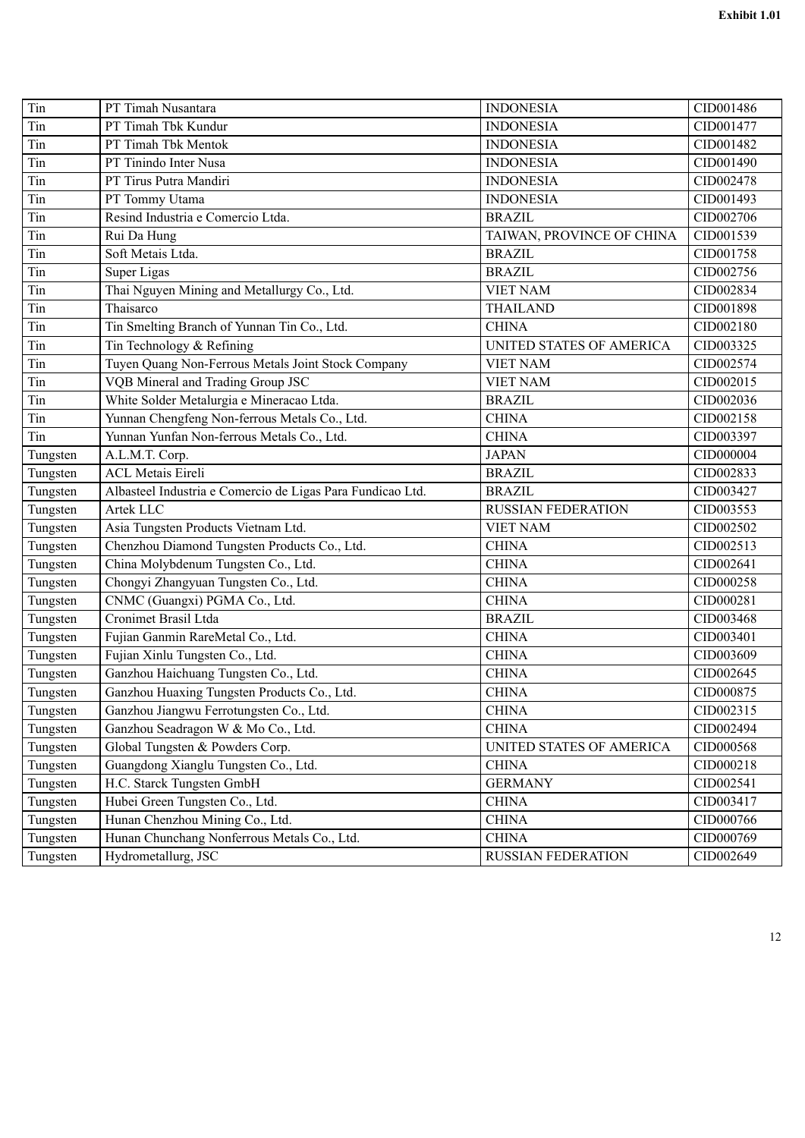| Tin      | PT Timah Nusantara                                         | <b>INDONESIA</b>          | CID001486 |
|----------|------------------------------------------------------------|---------------------------|-----------|
| Tin      | PT Timah Tbk Kundur                                        | <b>INDONESIA</b>          | CID001477 |
| Tin      | PT Timah Tbk Mentok                                        | <b>INDONESIA</b>          | CID001482 |
| Tin      | PT Tinindo Inter Nusa                                      | <b>INDONESIA</b>          | CID001490 |
| Tin      | PT Tirus Putra Mandiri                                     | <b>INDONESIA</b>          | CID002478 |
| Tin      | PT Tommy Utama                                             | <b>INDONESIA</b>          | CID001493 |
| Tin      | Resind Industria e Comercio Ltda.                          | <b>BRAZIL</b>             | CID002706 |
| Tin      | Rui Da Hung                                                | TAIWAN, PROVINCE OF CHINA | CID001539 |
| Tin      | Soft Metais Ltda.                                          | <b>BRAZIL</b>             | CID001758 |
| Tin      | Super Ligas                                                | <b>BRAZIL</b>             | CID002756 |
| Tin      | Thai Nguyen Mining and Metallurgy Co., Ltd.                | <b>VIET NAM</b>           | CID002834 |
| Tin      | Thaisarco                                                  | <b>THAILAND</b>           | CID001898 |
| Tin      | Tin Smelting Branch of Yunnan Tin Co., Ltd.                | <b>CHINA</b>              | CID002180 |
| Tin      | Tin Technology & Refining                                  | UNITED STATES OF AMERICA  | CID003325 |
| Tin      | Tuyen Quang Non-Ferrous Metals Joint Stock Company         | <b>VIET NAM</b>           | CID002574 |
| Tin      | VQB Mineral and Trading Group JSC                          | <b>VIET NAM</b>           | CID002015 |
| Tin      | White Solder Metalurgia e Mineracao Ltda.                  | <b>BRAZIL</b>             | CID002036 |
| Tin      | Yunnan Chengfeng Non-ferrous Metals Co., Ltd.              | <b>CHINA</b>              | CID002158 |
| Tin      | Yunnan Yunfan Non-ferrous Metals Co., Ltd.                 | <b>CHINA</b>              | CID003397 |
| Tungsten | A.L.M.T. Corp.                                             | <b>JAPAN</b>              | CID000004 |
| Tungsten | <b>ACL Metais Eireli</b>                                   | <b>BRAZIL</b>             | CID002833 |
| Tungsten | Albasteel Industria e Comercio de Ligas Para Fundicao Ltd. | <b>BRAZIL</b>             | CID003427 |
| Tungsten | Artek LLC                                                  | <b>RUSSIAN FEDERATION</b> | CID003553 |
| Tungsten | Asia Tungsten Products Vietnam Ltd.                        | <b>VIET NAM</b>           | CID002502 |
| Tungsten | Chenzhou Diamond Tungsten Products Co., Ltd.               | <b>CHINA</b>              | CID002513 |
| Tungsten | China Molybdenum Tungsten Co., Ltd.                        | <b>CHINA</b>              | CID002641 |
| Tungsten | Chongyi Zhangyuan Tungsten Co., Ltd.                       | <b>CHINA</b>              | CID000258 |
| Tungsten | CNMC (Guangxi) PGMA Co., Ltd.                              | <b>CHINA</b>              | CID000281 |
| Tungsten | Cronimet Brasil Ltda                                       | <b>BRAZIL</b>             | CID003468 |
| Tungsten | Fujian Ganmin RareMetal Co., Ltd.                          | <b>CHINA</b>              | CID003401 |
| Tungsten | Fujian Xinlu Tungsten Co., Ltd.                            | <b>CHINA</b>              | CID003609 |
| Tungsten | Ganzhou Haichuang Tungsten Co., Ltd.                       | <b>CHINA</b>              | CID002645 |
| Tungsten | Ganzhou Huaxing Tungsten Products Co., Ltd.                | <b>CHINA</b>              | CID000875 |
| Tungsten | Ganzhou Jiangwu Ferrotungsten Co., Ltd.                    | <b>CHINA</b>              | CID002315 |
| Tungsten | Ganzhou Seadragon W & Mo Co., Ltd.                         | <b>CHINA</b>              | CID002494 |
| Tungsten | Global Tungsten & Powders Corp.                            | UNITED STATES OF AMERICA  | CID000568 |
| Tungsten | Guangdong Xianglu Tungsten Co., Ltd.                       | <b>CHINA</b>              | CID000218 |
| Tungsten | H.C. Starck Tungsten GmbH                                  | <b>GERMANY</b>            | CID002541 |
| Tungsten | Hubei Green Tungsten Co., Ltd.                             | <b>CHINA</b>              | CID003417 |
| Tungsten | Hunan Chenzhou Mining Co., Ltd.                            | <b>CHINA</b>              | CID000766 |
| Tungsten | Hunan Chunchang Nonferrous Metals Co., Ltd.                | <b>CHINA</b>              | CID000769 |
| Tungsten | Hydrometallurg, JSC                                        | <b>RUSSIAN FEDERATION</b> | CID002649 |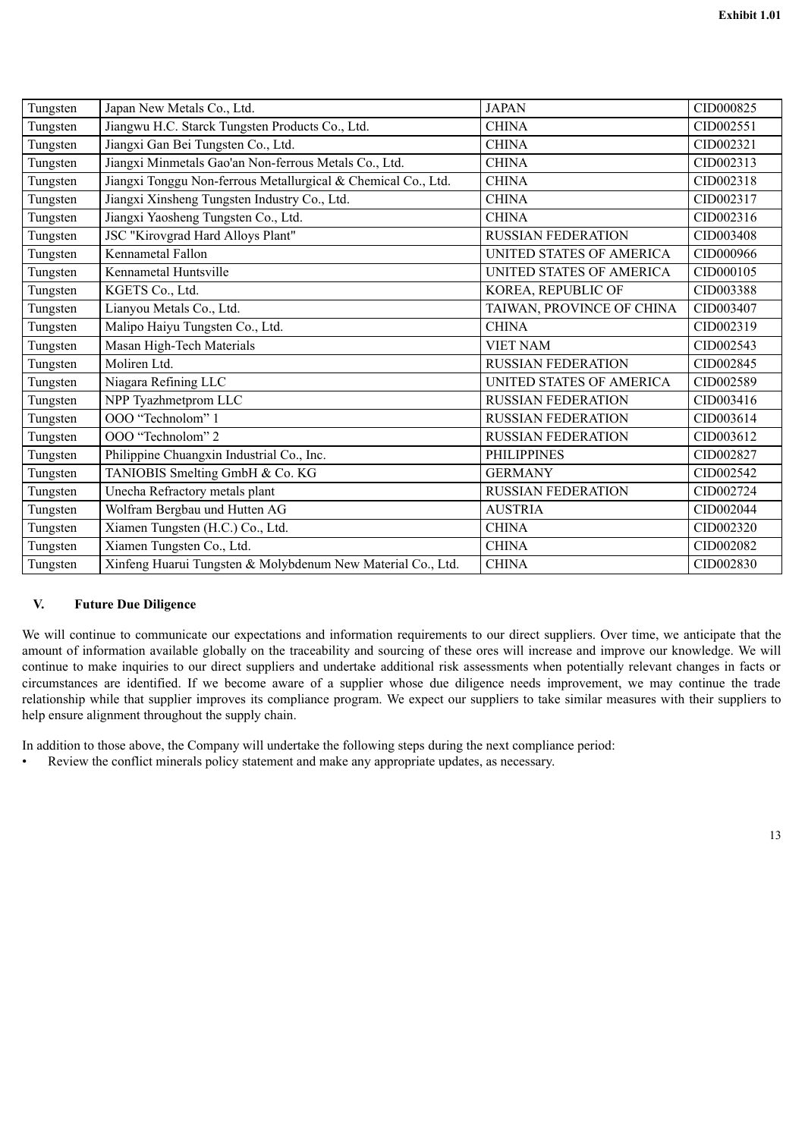| Tungsten | Japan New Metals Co., Ltd.                                    | <b>JAPAN</b>              | CID000825 |
|----------|---------------------------------------------------------------|---------------------------|-----------|
| Tungsten | Jiangwu H.C. Starck Tungsten Products Co., Ltd.               | <b>CHINA</b>              | CID002551 |
| Tungsten | Jiangxi Gan Bei Tungsten Co., Ltd.                            | <b>CHINA</b>              | CID002321 |
| Tungsten | Jiangxi Minmetals Gao'an Non-ferrous Metals Co., Ltd.         | <b>CHINA</b>              | CID002313 |
| Tungsten | Jiangxi Tonggu Non-ferrous Metallurgical & Chemical Co., Ltd. | <b>CHINA</b>              | CID002318 |
| Tungsten | Jiangxi Xinsheng Tungsten Industry Co., Ltd.                  | <b>CHINA</b>              | CID002317 |
| Tungsten | Jiangxi Yaosheng Tungsten Co., Ltd.                           | <b>CHINA</b>              | CID002316 |
| Tungsten | JSC "Kirovgrad Hard Alloys Plant"                             | <b>RUSSIAN FEDERATION</b> | CID003408 |
| Tungsten | Kennametal Fallon                                             | UNITED STATES OF AMERICA  | CID000966 |
| Tungsten | Kennametal Huntsville                                         | UNITED STATES OF AMERICA  | CID000105 |
| Tungsten | KGETS Co., Ltd.                                               | KOREA, REPUBLIC OF        | CID003388 |
| Tungsten | Lianyou Metals Co., Ltd.                                      | TAIWAN, PROVINCE OF CHINA | CID003407 |
| Tungsten | Malipo Haiyu Tungsten Co., Ltd.                               | <b>CHINA</b>              | CID002319 |
| Tungsten | Masan High-Tech Materials                                     | <b>VIET NAM</b>           | CID002543 |
| Tungsten | Moliren Ltd.                                                  | <b>RUSSIAN FEDERATION</b> | CID002845 |
| Tungsten | Niagara Refining LLC                                          | UNITED STATES OF AMERICA  | CID002589 |
| Tungsten | NPP Tyazhmetprom LLC                                          | <b>RUSSIAN FEDERATION</b> | CID003416 |
| Tungsten | OOO "Technolom" 1                                             | <b>RUSSIAN FEDERATION</b> | CID003614 |
| Tungsten | OOO "Technolom" 2                                             | <b>RUSSIAN FEDERATION</b> | CID003612 |
| Tungsten | Philippine Chuangxin Industrial Co., Inc.                     | <b>PHILIPPINES</b>        | CID002827 |
| Tungsten | TANIOBIS Smelting GmbH & Co. KG                               | <b>GERMANY</b>            | CID002542 |
| Tungsten | Unecha Refractory metals plant                                | <b>RUSSIAN FEDERATION</b> | CID002724 |
| Tungsten | Wolfram Bergbau und Hutten AG                                 | <b>AUSTRIA</b>            | CID002044 |
| Tungsten | Xiamen Tungsten (H.C.) Co., Ltd.                              | <b>CHINA</b>              | CID002320 |
| Tungsten | Xiamen Tungsten Co., Ltd.                                     | <b>CHINA</b>              | CID002082 |
| Tungsten | Xinfeng Huarui Tungsten & Molybdenum New Material Co., Ltd.   | <b>CHINA</b>              | CID002830 |

### **V. Future Due Diligence**

We will continue to communicate our expectations and information requirements to our direct suppliers. Over time, we anticipate that the amount of information available globally on the traceability and sourcing of these ores will increase and improve our knowledge. We will continue to make inquiries to our direct suppliers and undertake additional risk assessments when potentially relevant changes in facts or circumstances are identified. If we become aware of a supplier whose due diligence needs improvement, we may continue the trade relationship while that supplier improves its compliance program. We expect our suppliers to take similar measures with their suppliers to help ensure alignment throughout the supply chain.

In addition to those above, the Company will undertake the following steps during the next compliance period:

• Review the conflict minerals policy statement and make any appropriate updates, as necessary.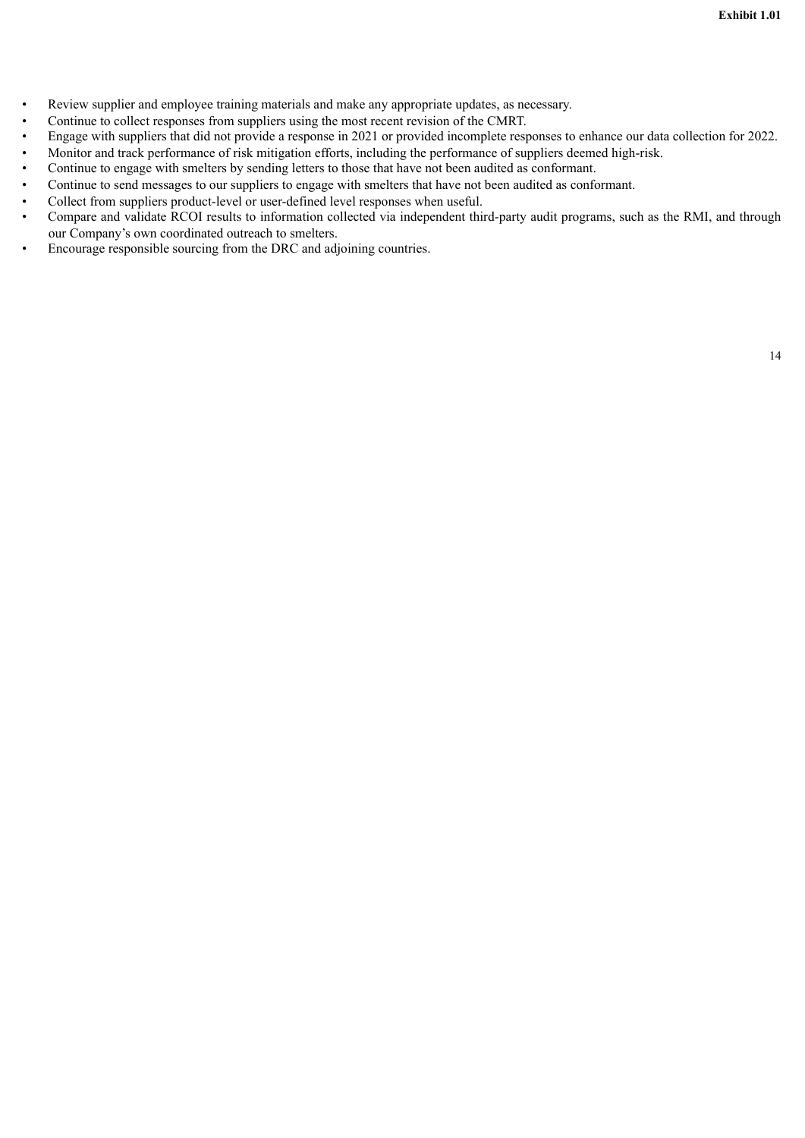- Review supplier and employee training materials and make any appropriate updates, as necessary.
- Continue to collect responses from suppliers using the most recent revision of the CMRT.
- Engage with suppliers that did not provide a response in 2021 or provided incomplete responses to enhance our data collection for 2022.
- Monitor and track performance of risk mitigation efforts, including the performance of suppliers deemed high-risk.
- Continue to engage with smelters by sending letters to those that have not been audited as conformant.
- Continue to send messages to our suppliers to engage with smelters that have not been audited as conformant.
- Collect from suppliers product-level or user-defined level responses when useful.
- Compare and validate RCOI results to information collected via independent third-party audit programs, such as the RMI, and through our Company's own coordinated outreach to smelters.
- Encourage responsible sourcing from the DRC and adjoining countries.